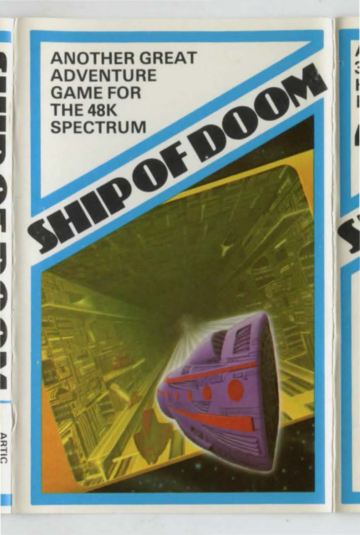**ANOTHER GREAT ADVENTURE GAME FOR THE 48K SPECTRUM**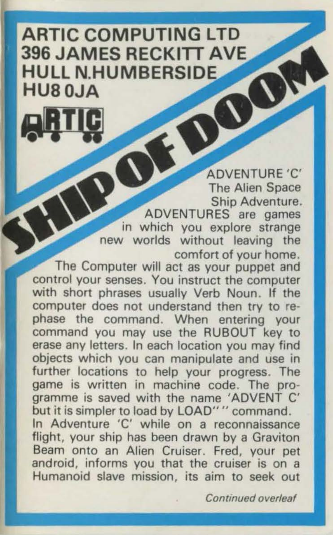## **ARTIC COMPUTING LTD 396 JAMES RECKITT AVE HULL N HUMBERSIDE HU80.IA**

ADVENTURE 'C' The Alien Space Ship Adventure. ADVENTURES are games in which you explore strange new worlds without leaving the comfort of your home.

The Computer will act as your puppet and control your senses. You instruct the computer with short phrases usually Verb Noun. If the computer does not understand then try to rephase the command. When entering your command you may use the RUBOUT key to erase any letters. In each location you may find objects which you can manipulate and use in further locations to help your progress. The game is written in machine code. The programme is saved with the name 'ADVENT C' but it is simpler to load by LOAD" " command. In Adventure 'C' while on a reconnaissance flight, your ship has been drawn by a Graviton Beam onto an Alien Cruiser. Fred, your pet android, informs you that the cruiser is on a Humanoid slave mission, its aim to seek out

Continued overleaf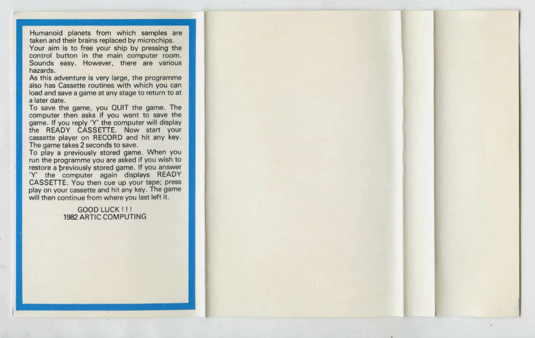Humanoid planets from which samples are taken and their brains replaced by microchips. Your aim is to free your ship by pressing the

control button in the main computer room. Sounds easy. However, there are various hazards.

As this adventure is very large, the programme also has Cassette routines with which you can load and save a game at any stage to return to at a later date.

To save the game, you QUIT the game. The computer then asks if you want to save the game. If you reply 'Y' the computer will display the READY CASSETTE. Now start your cassette player on RECORD and hit any key. The game takes 2 seconds to save.

To play a previously stored game. When you run the programme you are asked if you wish to restore a breviously stored game. If you answer 'Y' the computer again displays READY CASSETTE. You then cue up your tape; press play on your cassette and hit any key. The game will then continue from where you last left it.

> GOOD LUCK I I I 1982 ARTIC COMPUTING